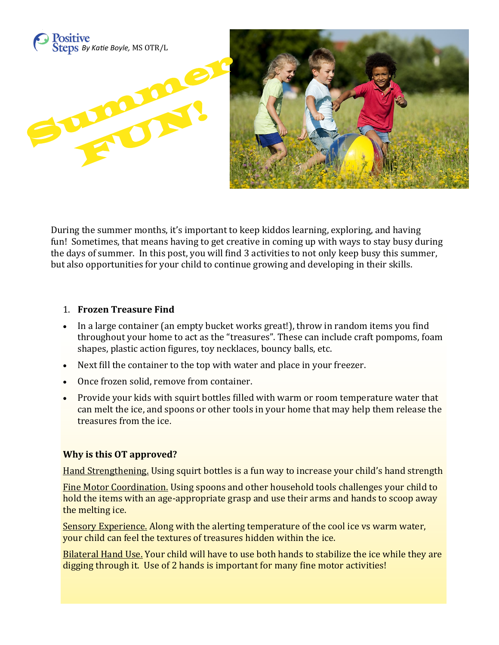

During the summer months, it's important to keep kiddos learning, exploring, and having fun! Sometimes, that means having to get creative in coming up with ways to stay busy during the days of summer. In this post, you will find 3 activities to not only keep busy this summer, but also opportunities for your child to continue growing and developing in their skills.

#### 1. **Frozen Treasure Find**

- In a large container (an empty bucket works great!), throw in random items you find throughout your home to act as the "treasures". These can include craft pompoms, foam shapes, plastic action figures, toy necklaces, bouncy balls, etc.
- Next fill the container to the top with water and place in your freezer.
- Once frozen solid, remove from container.
- Provide your kids with squirt bottles filled with warm or room temperature water that can melt the ice, and spoons or other tools in your home that may help them release the treasures from the ice.

#### **Why is this OT approved?**

Hand Strengthening. Using squirt bottles is a fun way to increase your child's hand strength

Fine Motor Coordination. Using spoons and other household tools challenges your child to hold the items with an age-appropriate grasp and use their arms and hands to scoop away the melting ice.

Sensory Experience. Along with the alerting temperature of the cool ice vs warm water, your child can feel the textures of treasures hidden within the ice.

Bilateral Hand Use. Your child will have to use both hands to stabilize the ice while they are digging through it. Use of 2 hands is important for many fine motor activities!